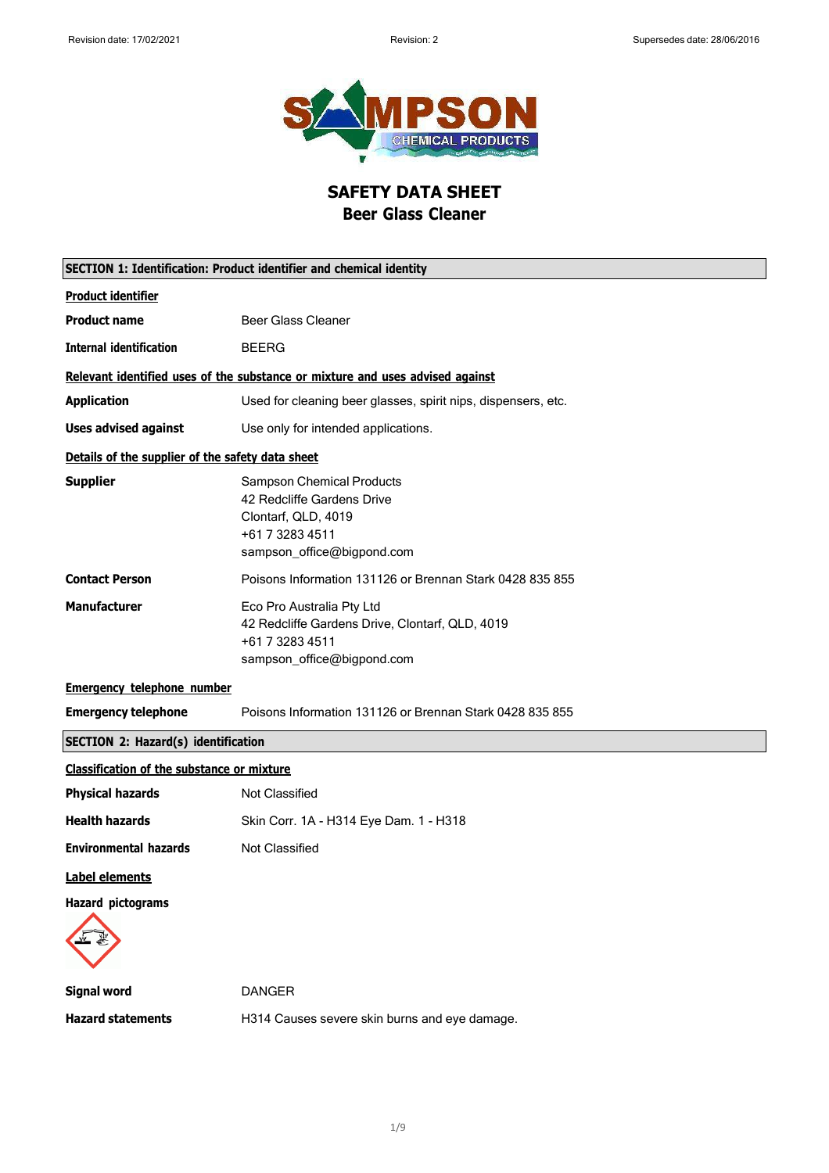

**SAFETY DATA SHEET Beer Glass Cleaner**

|                                                   | SECTION 1: Identification: Product identifier and chemical identity                                                                    |  |  |
|---------------------------------------------------|----------------------------------------------------------------------------------------------------------------------------------------|--|--|
| <b>Product identifier</b>                         |                                                                                                                                        |  |  |
| <b>Product name</b>                               | <b>Beer Glass Cleaner</b>                                                                                                              |  |  |
| <b>Internal identification</b>                    | <b>BEERG</b>                                                                                                                           |  |  |
|                                                   | Relevant identified uses of the substance or mixture and uses advised against                                                          |  |  |
| <b>Application</b>                                | Used for cleaning beer glasses, spirit nips, dispensers, etc.                                                                          |  |  |
| <b>Uses advised against</b>                       | Use only for intended applications.                                                                                                    |  |  |
| Details of the supplier of the safety data sheet  |                                                                                                                                        |  |  |
| <b>Supplier</b>                                   | <b>Sampson Chemical Products</b><br>42 Redcliffe Gardens Drive<br>Clontarf, QLD, 4019<br>+61 7 3283 4511<br>sampson_office@bigpond.com |  |  |
| <b>Contact Person</b>                             | Poisons Information 131126 or Brennan Stark 0428 835 855                                                                               |  |  |
| <b>Manufacturer</b>                               | Eco Pro Australia Pty Ltd<br>42 Redcliffe Gardens Drive, Clontarf, QLD, 4019<br>+61 7 3283 4511<br>sampson_office@bigpond.com          |  |  |
| <b>Emergency telephone number</b>                 |                                                                                                                                        |  |  |
| <b>Emergency telephone</b>                        | Poisons Information 131126 or Brennan Stark 0428 835 855                                                                               |  |  |
|                                                   | <b>SECTION 2: Hazard(s) identification</b>                                                                                             |  |  |
| <b>Classification of the substance or mixture</b> |                                                                                                                                        |  |  |
| <b>Physical hazards</b>                           | Not Classified                                                                                                                         |  |  |
| <b>Health hazards</b>                             | Skin Corr. 1A - H314 Eye Dam. 1 - H318                                                                                                 |  |  |
| <b>Environmental hazards</b>                      | <b>Not Classified</b>                                                                                                                  |  |  |
| Label elements                                    |                                                                                                                                        |  |  |
| <b>Hazard pictograms</b>                          |                                                                                                                                        |  |  |
| <b>Signal word</b>                                | <b>DANGER</b>                                                                                                                          |  |  |
| <b>Hazard statements</b>                          | H314 Causes severe skin burns and eye damage.                                                                                          |  |  |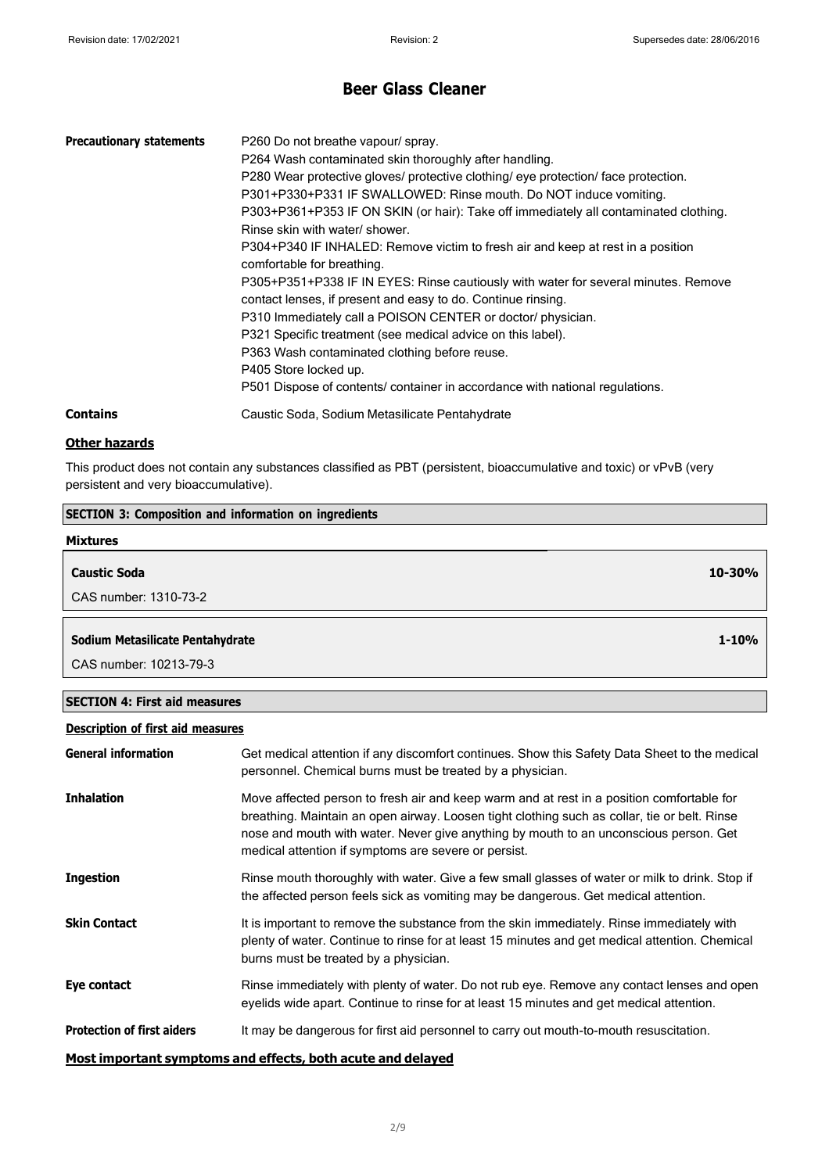**1-10%**

## **Beer Glass Cleaner**

| <b>Precautionary statements</b> | P260 Do not breathe vapour/spray.<br>P264 Wash contaminated skin thoroughly after handling.<br>P280 Wear protective gloves/ protective clothing/ eye protection/ face protection.<br>P301+P330+P331 IF SWALLOWED: Rinse mouth. Do NOT induce vomiting.<br>P303+P361+P353 IF ON SKIN (or hair): Take off immediately all contaminated clothing.<br>Rinse skin with water/ shower.<br>P304+P340 IF INHALED: Remove victim to fresh air and keep at rest in a position<br>comfortable for breathing.<br>P305+P351+P338 IF IN EYES: Rinse cautiously with water for several minutes. Remove<br>contact lenses, if present and easy to do. Continue rinsing.<br>P310 Immediately call a POISON CENTER or doctor/ physician.<br>P321 Specific treatment (see medical advice on this label).<br>P363 Wash contaminated clothing before reuse.<br>P405 Store locked up.<br>P501 Dispose of contents/ container in accordance with national regulations. |
|---------------------------------|-------------------------------------------------------------------------------------------------------------------------------------------------------------------------------------------------------------------------------------------------------------------------------------------------------------------------------------------------------------------------------------------------------------------------------------------------------------------------------------------------------------------------------------------------------------------------------------------------------------------------------------------------------------------------------------------------------------------------------------------------------------------------------------------------------------------------------------------------------------------------------------------------------------------------------------------------|
| <b>Contains</b>                 | Caustic Soda, Sodium Metasilicate Pentahydrate                                                                                                                                                                                                                                                                                                                                                                                                                                                                                                                                                                                                                                                                                                                                                                                                                                                                                                  |

### **Other hazards**

This product does not contain any substances classified as PBT (persistent, bioaccumulative and toxic) or vPvB (very persistent and very bioaccumulative).

# **SECTION 3: Composition and information on ingredients Mixtures Caustic Soda** CAS number: 1310-73-2 **10-30%**

### **Sodium Metasilicate Pentahydrate**

CAS number: 10213-79-3

### **SECTION 4: First aid measures**

## **Description of first aid measures**

| <b>General information</b>                                   | Get medical attention if any discomfort continues. Show this Safety Data Sheet to the medical<br>personnel. Chemical burns must be treated by a physician.                                                                                                                                                                                 |  |
|--------------------------------------------------------------|--------------------------------------------------------------------------------------------------------------------------------------------------------------------------------------------------------------------------------------------------------------------------------------------------------------------------------------------|--|
| <b>Inhalation</b>                                            | Move affected person to fresh air and keep warm and at rest in a position comfortable for<br>breathing. Maintain an open airway. Loosen tight clothing such as collar, tie or belt. Rinse<br>nose and mouth with water. Never give anything by mouth to an unconscious person. Get<br>medical attention if symptoms are severe or persist. |  |
| <b>Ingestion</b>                                             | Rinse mouth thoroughly with water. Give a few small glasses of water or milk to drink. Stop if<br>the affected person feels sick as vomiting may be dangerous. Get medical attention.                                                                                                                                                      |  |
| <b>Skin Contact</b>                                          | It is important to remove the substance from the skin immediately. Rinse immediately with<br>plenty of water. Continue to rinse for at least 15 minutes and get medical attention. Chemical<br>burns must be treated by a physician.                                                                                                       |  |
| Eye contact                                                  | Rinse immediately with plenty of water. Do not rub eye. Remove any contact lenses and open<br>eyelids wide apart. Continue to rinse for at least 15 minutes and get medical attention.                                                                                                                                                     |  |
| <b>Protection of first aiders</b>                            | It may be dangerous for first aid personnel to carry out mouth-to-mouth resuscitation.                                                                                                                                                                                                                                                     |  |
| Moot immertant cummtemes and effects, heth acute and delayed |                                                                                                                                                                                                                                                                                                                                            |  |

#### **Most important symptoms and effects, both acute and delayed**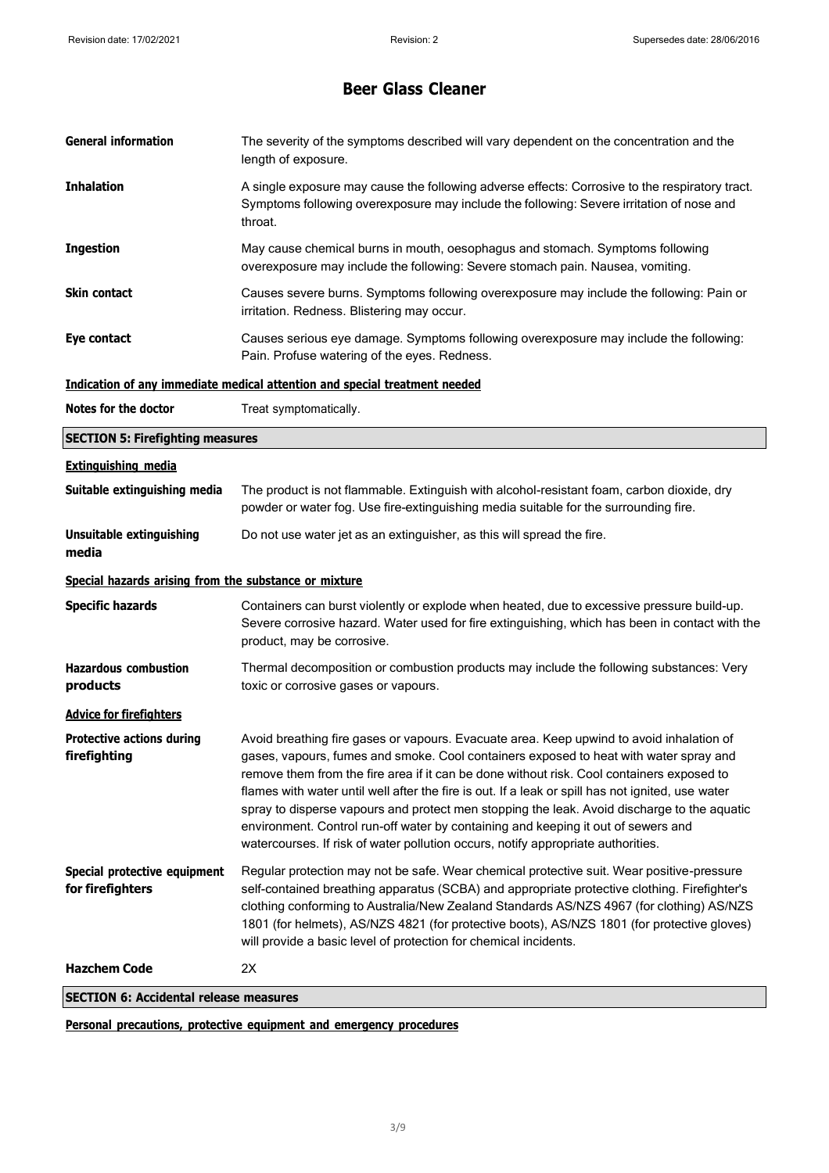| <b>General information</b>                            | The severity of the symptoms described will vary dependent on the concentration and the<br>length of exposure.                                                                                                                                                                                                                                                                                                                                                                                                                                                                                                                                              |
|-------------------------------------------------------|-------------------------------------------------------------------------------------------------------------------------------------------------------------------------------------------------------------------------------------------------------------------------------------------------------------------------------------------------------------------------------------------------------------------------------------------------------------------------------------------------------------------------------------------------------------------------------------------------------------------------------------------------------------|
| <b>Inhalation</b>                                     | A single exposure may cause the following adverse effects: Corrosive to the respiratory tract.<br>Symptoms following overexposure may include the following: Severe irritation of nose and<br>throat.                                                                                                                                                                                                                                                                                                                                                                                                                                                       |
| <b>Ingestion</b>                                      | May cause chemical burns in mouth, oesophagus and stomach. Symptoms following<br>overexposure may include the following: Severe stomach pain. Nausea, vomiting.                                                                                                                                                                                                                                                                                                                                                                                                                                                                                             |
| Skin contact                                          | Causes severe burns. Symptoms following overexposure may include the following: Pain or<br>irritation. Redness. Blistering may occur.                                                                                                                                                                                                                                                                                                                                                                                                                                                                                                                       |
| Eye contact                                           | Causes serious eye damage. Symptoms following overexposure may include the following:<br>Pain. Profuse watering of the eyes. Redness.                                                                                                                                                                                                                                                                                                                                                                                                                                                                                                                       |
|                                                       | Indication of any immediate medical attention and special treatment needed                                                                                                                                                                                                                                                                                                                                                                                                                                                                                                                                                                                  |
| Notes for the doctor                                  | Treat symptomatically.                                                                                                                                                                                                                                                                                                                                                                                                                                                                                                                                                                                                                                      |
| <b>SECTION 5: Firefighting measures</b>               |                                                                                                                                                                                                                                                                                                                                                                                                                                                                                                                                                                                                                                                             |
| <b>Extinguishing media</b>                            |                                                                                                                                                                                                                                                                                                                                                                                                                                                                                                                                                                                                                                                             |
| Suitable extinguishing media                          | The product is not flammable. Extinguish with alcohol-resistant foam, carbon dioxide, dry<br>powder or water fog. Use fire-extinguishing media suitable for the surrounding fire.                                                                                                                                                                                                                                                                                                                                                                                                                                                                           |
| <b>Unsuitable extinguishing</b><br>media              | Do not use water jet as an extinguisher, as this will spread the fire.                                                                                                                                                                                                                                                                                                                                                                                                                                                                                                                                                                                      |
| Special hazards arising from the substance or mixture |                                                                                                                                                                                                                                                                                                                                                                                                                                                                                                                                                                                                                                                             |
| <b>Specific hazards</b>                               | Containers can burst violently or explode when heated, due to excessive pressure build-up.<br>Severe corrosive hazard. Water used for fire extinguishing, which has been in contact with the<br>product, may be corrosive.                                                                                                                                                                                                                                                                                                                                                                                                                                  |
| <b>Hazardous combustion</b><br>products               | Thermal decomposition or combustion products may include the following substances: Very<br>toxic or corrosive gases or vapours.                                                                                                                                                                                                                                                                                                                                                                                                                                                                                                                             |
| <b>Advice for firefighters</b>                        |                                                                                                                                                                                                                                                                                                                                                                                                                                                                                                                                                                                                                                                             |
| <b>Protective actions during</b><br>firefighting      | Avoid breathing fire gases or vapours. Evacuate area. Keep upwind to avoid inhalation of<br>gases, vapours, fumes and smoke. Cool containers exposed to heat with water spray and<br>remove them from the fire area if it can be done without risk. Cool containers exposed to<br>flames with water until well after the fire is out. If a leak or spill has not ignited, use water<br>spray to disperse vapours and protect men stopping the leak. Avoid discharge to the aquatic<br>environment. Control run-off water by containing and keeping it out of sewers and<br>watercourses. If risk of water pollution occurs, notify appropriate authorities. |
| Special protective equipment<br>for firefighters      | Regular protection may not be safe. Wear chemical protective suit. Wear positive-pressure<br>self-contained breathing apparatus (SCBA) and appropriate protective clothing. Firefighter's<br>clothing conforming to Australia/New Zealand Standards AS/NZS 4967 (for clothing) AS/NZS<br>1801 (for helmets), AS/NZS 4821 (for protective boots), AS/NZS 1801 (for protective gloves)<br>will provide a basic level of protection for chemical incidents.                                                                                                                                                                                                    |
| <b>Hazchem Code</b>                                   | 2X                                                                                                                                                                                                                                                                                                                                                                                                                                                                                                                                                                                                                                                          |
| <b>SECTION 6: Accidental release measures</b>         |                                                                                                                                                                                                                                                                                                                                                                                                                                                                                                                                                                                                                                                             |

**Personal precautions, protective equipment and emergency procedures**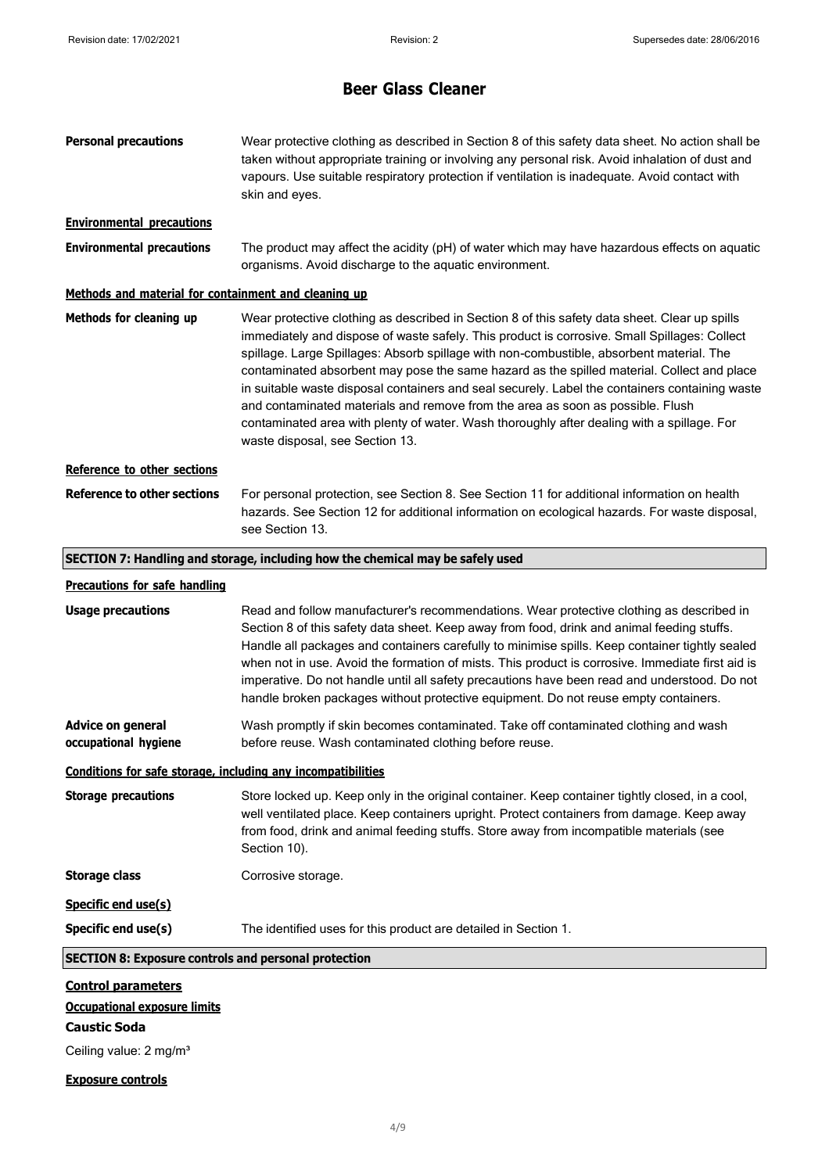| <b>Personal precautions</b>                                                                                                   | Wear protective clothing as described in Section 8 of this safety data sheet. No action shall be<br>taken without appropriate training or involving any personal risk. Avoid inhalation of dust and<br>vapours. Use suitable respiratory protection if ventilation is inadequate. Avoid contact with<br>skin and eyes.                                                                                                                                                                                                                                                                                                                                                                                       |  |  |
|-------------------------------------------------------------------------------------------------------------------------------|--------------------------------------------------------------------------------------------------------------------------------------------------------------------------------------------------------------------------------------------------------------------------------------------------------------------------------------------------------------------------------------------------------------------------------------------------------------------------------------------------------------------------------------------------------------------------------------------------------------------------------------------------------------------------------------------------------------|--|--|
| <b>Environmental precautions</b>                                                                                              |                                                                                                                                                                                                                                                                                                                                                                                                                                                                                                                                                                                                                                                                                                              |  |  |
| <b>Environmental precautions</b>                                                                                              | The product may affect the acidity (pH) of water which may have hazardous effects on aquatic<br>organisms. Avoid discharge to the aquatic environment.                                                                                                                                                                                                                                                                                                                                                                                                                                                                                                                                                       |  |  |
| Methods and material for containment and cleaning up                                                                          |                                                                                                                                                                                                                                                                                                                                                                                                                                                                                                                                                                                                                                                                                                              |  |  |
| Methods for cleaning up                                                                                                       | Wear protective clothing as described in Section 8 of this safety data sheet. Clear up spills<br>immediately and dispose of waste safely. This product is corrosive. Small Spillages: Collect<br>spillage. Large Spillages: Absorb spillage with non-combustible, absorbent material. The<br>contaminated absorbent may pose the same hazard as the spilled material. Collect and place<br>in suitable waste disposal containers and seal securely. Label the containers containing waste<br>and contaminated materials and remove from the area as soon as possible. Flush<br>contaminated area with plenty of water. Wash thoroughly after dealing with a spillage. For<br>waste disposal, see Section 13. |  |  |
| Reference to other sections                                                                                                   |                                                                                                                                                                                                                                                                                                                                                                                                                                                                                                                                                                                                                                                                                                              |  |  |
| <b>Reference to other sections</b>                                                                                            | For personal protection, see Section 8. See Section 11 for additional information on health<br>hazards. See Section 12 for additional information on ecological hazards. For waste disposal,<br>see Section 13.                                                                                                                                                                                                                                                                                                                                                                                                                                                                                              |  |  |
| SECTION 7: Handling and storage, including how the chemical may be safely used                                                |                                                                                                                                                                                                                                                                                                                                                                                                                                                                                                                                                                                                                                                                                                              |  |  |
| <b>Precautions for safe handling</b>                                                                                          |                                                                                                                                                                                                                                                                                                                                                                                                                                                                                                                                                                                                                                                                                                              |  |  |
| <b>Usage precautions</b>                                                                                                      | Read and follow manufacturer's recommendations. Wear protective clothing as described in<br>Section 8 of this safety data sheet. Keep away from food, drink and animal feeding stuffs.<br>Handle all packages and containers carefully to minimise spills. Keep container tightly sealed<br>when not in use. Avoid the formation of mists. This product is corrosive. Immediate first aid is<br>imperative. Do not handle until all safety precautions have been read and understood. Do not<br>handle broken packages without protective equipment. Do not reuse empty containers.                                                                                                                          |  |  |
| Advice on general<br>occupational hygiene                                                                                     | Wash promptly if skin becomes contaminated. Take off contaminated clothing and wash<br>before reuse. Wash contaminated clothing before reuse.                                                                                                                                                                                                                                                                                                                                                                                                                                                                                                                                                                |  |  |
| Conditions for safe storage, including any incompatibilities                                                                  |                                                                                                                                                                                                                                                                                                                                                                                                                                                                                                                                                                                                                                                                                                              |  |  |
| <b>Storage precautions</b>                                                                                                    | Store locked up. Keep only in the original container. Keep container tightly closed, in a cool,<br>well ventilated place. Keep containers upright. Protect containers from damage. Keep away<br>from food, drink and animal feeding stuffs. Store away from incompatible materials (see<br>Section 10).                                                                                                                                                                                                                                                                                                                                                                                                      |  |  |
| <b>Storage class</b>                                                                                                          | Corrosive storage.                                                                                                                                                                                                                                                                                                                                                                                                                                                                                                                                                                                                                                                                                           |  |  |
| Specific end use(s)                                                                                                           |                                                                                                                                                                                                                                                                                                                                                                                                                                                                                                                                                                                                                                                                                                              |  |  |
| Specific end use(s)                                                                                                           | The identified uses for this product are detailed in Section 1.                                                                                                                                                                                                                                                                                                                                                                                                                                                                                                                                                                                                                                              |  |  |
| <b>SECTION 8: Exposure controls and personal protection</b>                                                                   |                                                                                                                                                                                                                                                                                                                                                                                                                                                                                                                                                                                                                                                                                                              |  |  |
| <b>Control parameters</b><br><b>Occupational exposure limits</b><br><b>Caustic Soda</b><br>Ceiling value: 2 mg/m <sup>3</sup> |                                                                                                                                                                                                                                                                                                                                                                                                                                                                                                                                                                                                                                                                                                              |  |  |
| <b>Exposure controls</b>                                                                                                      |                                                                                                                                                                                                                                                                                                                                                                                                                                                                                                                                                                                                                                                                                                              |  |  |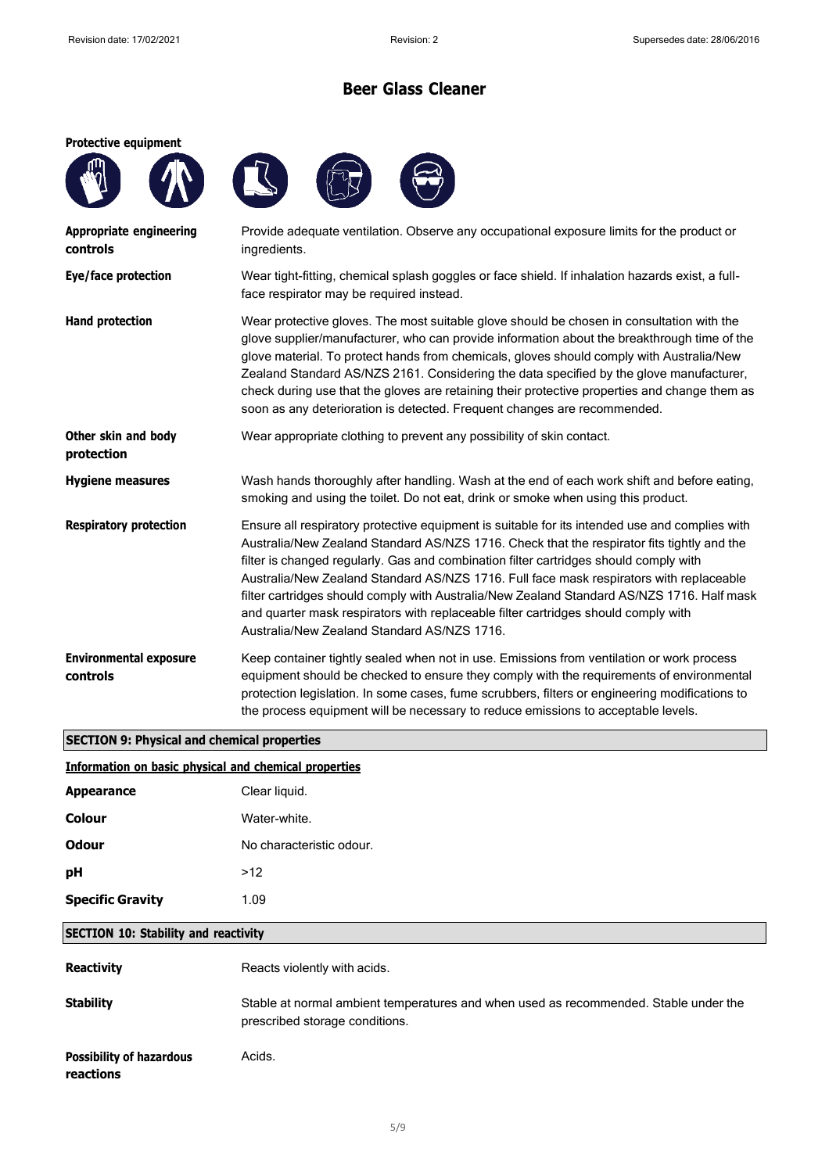#### **Protective equipment**







| <b>Appropriate engineering</b><br>controls | Provide adequate ventilation. Observe any occupational exposure limits for the product or<br>ingredients.                                                                                                                                                                                                                                                                                                                                                                                                                                                                                                           |
|--------------------------------------------|---------------------------------------------------------------------------------------------------------------------------------------------------------------------------------------------------------------------------------------------------------------------------------------------------------------------------------------------------------------------------------------------------------------------------------------------------------------------------------------------------------------------------------------------------------------------------------------------------------------------|
| Eye/face protection                        | Wear tight-fitting, chemical splash goggles or face shield. If inhalation hazards exist, a full-<br>face respirator may be required instead.                                                                                                                                                                                                                                                                                                                                                                                                                                                                        |
| <b>Hand protection</b>                     | Wear protective gloves. The most suitable glove should be chosen in consultation with the<br>glove supplier/manufacturer, who can provide information about the breakthrough time of the<br>glove material. To protect hands from chemicals, gloves should comply with Australia/New<br>Zealand Standard AS/NZS 2161. Considering the data specified by the glove manufacturer,<br>check during use that the gloves are retaining their protective properties and change them as<br>soon as any deterioration is detected. Frequent changes are recommended.                                                        |
| Other skin and body<br>protection          | Wear appropriate clothing to prevent any possibility of skin contact.                                                                                                                                                                                                                                                                                                                                                                                                                                                                                                                                               |
| <b>Hygiene measures</b>                    | Wash hands thoroughly after handling. Wash at the end of each work shift and before eating,<br>smoking and using the toilet. Do not eat, drink or smoke when using this product.                                                                                                                                                                                                                                                                                                                                                                                                                                    |
| <b>Respiratory protection</b>              | Ensure all respiratory protective equipment is suitable for its intended use and complies with<br>Australia/New Zealand Standard AS/NZS 1716. Check that the respirator fits tightly and the<br>filter is changed regularly. Gas and combination filter cartridges should comply with<br>Australia/New Zealand Standard AS/NZS 1716. Full face mask respirators with replaceable<br>filter cartridges should comply with Australia/New Zealand Standard AS/NZS 1716. Half mask<br>and quarter mask respirators with replaceable filter cartridges should comply with<br>Australia/New Zealand Standard AS/NZS 1716. |
| <b>Environmental exposure</b><br>controls  | Keep container tightly sealed when not in use. Emissions from ventilation or work process<br>equipment should be checked to ensure they comply with the requirements of environmental<br>protection legislation. In some cases, fume scrubbers, filters or engineering modifications to<br>the process equipment will be necessary to reduce emissions to acceptable levels.                                                                                                                                                                                                                                        |

## **SECTION 9: Physical and chemical properties**

### **Information on basic physical and chemical properties**

| <b>Appearance</b>       | Clear liquid.            |
|-------------------------|--------------------------|
| <b>Colour</b>           | Water-white.             |
| Odour                   | No characteristic odour. |
| рH                      | >12                      |
| <b>Specific Gravity</b> | 1.09                     |
|                         |                          |

### **SECTION 10: Stability and reactivity**

| <b>Reactivity</b>                            | Reacts violently with acids.                                                                                           |
|----------------------------------------------|------------------------------------------------------------------------------------------------------------------------|
| <b>Stability</b>                             | Stable at normal ambient temperatures and when used as recommended. Stable under the<br>prescribed storage conditions. |
| <b>Possibility of hazardous</b><br>reactions | Acids.                                                                                                                 |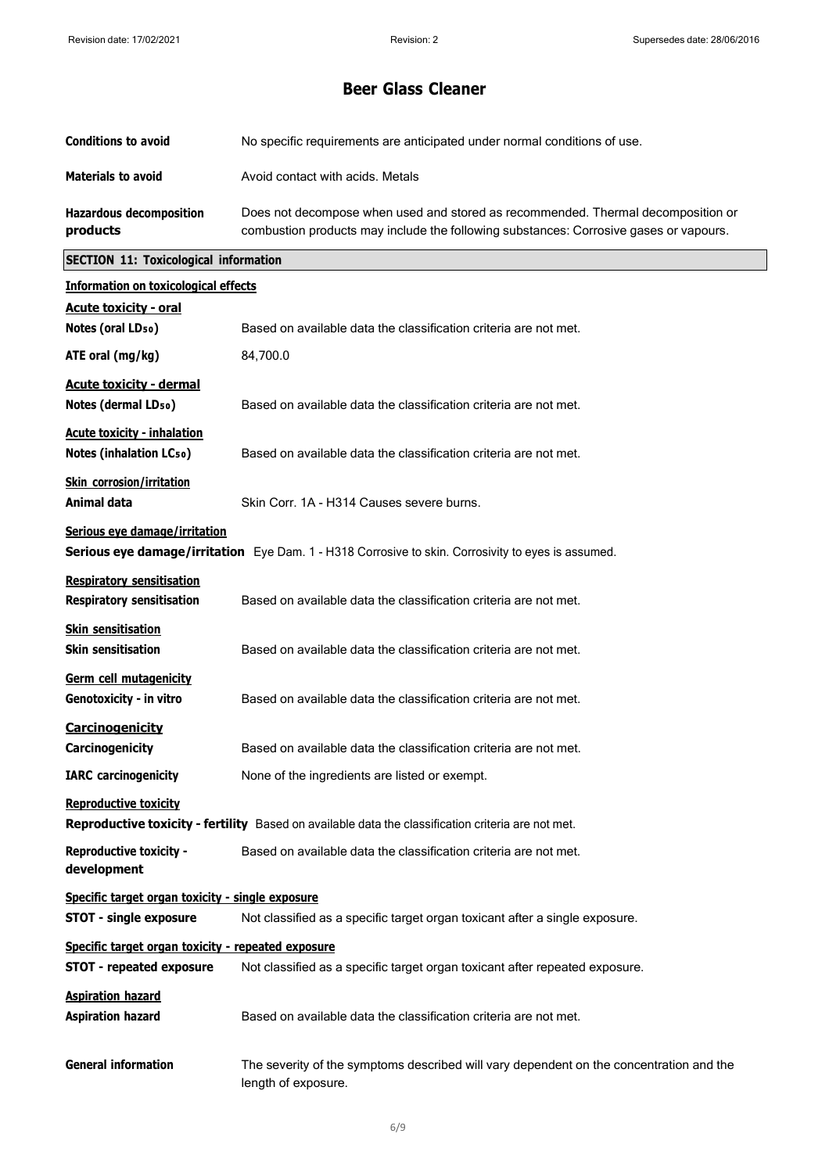| <b>Conditions to avoid</b>                                                            | No specific requirements are anticipated under normal conditions of use.                                                                                                  |  |
|---------------------------------------------------------------------------------------|---------------------------------------------------------------------------------------------------------------------------------------------------------------------------|--|
| <b>Materials to avoid</b>                                                             | Avoid contact with acids. Metals                                                                                                                                          |  |
| <b>Hazardous decomposition</b><br>products                                            | Does not decompose when used and stored as recommended. Thermal decomposition or<br>combustion products may include the following substances: Corrosive gases or vapours. |  |
| <b>SECTION 11: Toxicological information</b>                                          |                                                                                                                                                                           |  |
| <b>Information on toxicological effects</b>                                           |                                                                                                                                                                           |  |
| <b>Acute toxicity - oral</b><br>Notes (oral LD <sub>50</sub> )                        | Based on available data the classification criteria are not met.                                                                                                          |  |
| ATE oral (mg/kg)                                                                      | 84,700.0                                                                                                                                                                  |  |
| <b>Acute toxicity - dermal</b><br>Notes (dermal LD <sub>50</sub> )                    | Based on available data the classification criteria are not met.                                                                                                          |  |
| <b>Acute toxicity - inhalation</b><br>Notes (inhalation LCso)                         | Based on available data the classification criteria are not met.                                                                                                          |  |
| <b>Skin corrosion/irritation</b><br>Animal data                                       | Skin Corr. 1A - H314 Causes severe burns.                                                                                                                                 |  |
| Serious eye damage/irritation                                                         | <b>Serious eye damage/irritation</b> Eye Dam. 1 - H318 Corrosive to skin. Corrosivity to eyes is assumed.                                                                 |  |
| <b>Respiratory sensitisation</b><br><b>Respiratory sensitisation</b>                  | Based on available data the classification criteria are not met.                                                                                                          |  |
| <b>Skin sensitisation</b><br><b>Skin sensitisation</b>                                | Based on available data the classification criteria are not met.                                                                                                          |  |
| Germ cell mutagenicity<br>Genotoxicity - in vitro                                     | Based on available data the classification criteria are not met.                                                                                                          |  |
| Carcinogenicity<br><b>Carcinogenicity</b>                                             | Based on available data the classification criteria are not met.                                                                                                          |  |
| <b>IARC</b> carcinogenicity                                                           | None of the ingredients are listed or exempt.                                                                                                                             |  |
| <b>Reproductive toxicity</b>                                                          | Reproductive toxicity - fertility Based on available data the classification criteria are not met.                                                                        |  |
| <b>Reproductive toxicity -</b><br>development                                         | Based on available data the classification criteria are not met.                                                                                                          |  |
| Specific target organ toxicity - single exposure<br><b>STOT - single exposure</b>     | Not classified as a specific target organ toxicant after a single exposure.                                                                                               |  |
| Specific target organ toxicity - repeated exposure<br><b>STOT - repeated exposure</b> | Not classified as a specific target organ toxicant after repeated exposure.                                                                                               |  |
| <b>Aspiration hazard</b><br><b>Aspiration hazard</b>                                  | Based on available data the classification criteria are not met.                                                                                                          |  |
| <b>General information</b>                                                            | The severity of the symptoms described will vary dependent on the concentration and the<br>length of exposure.                                                            |  |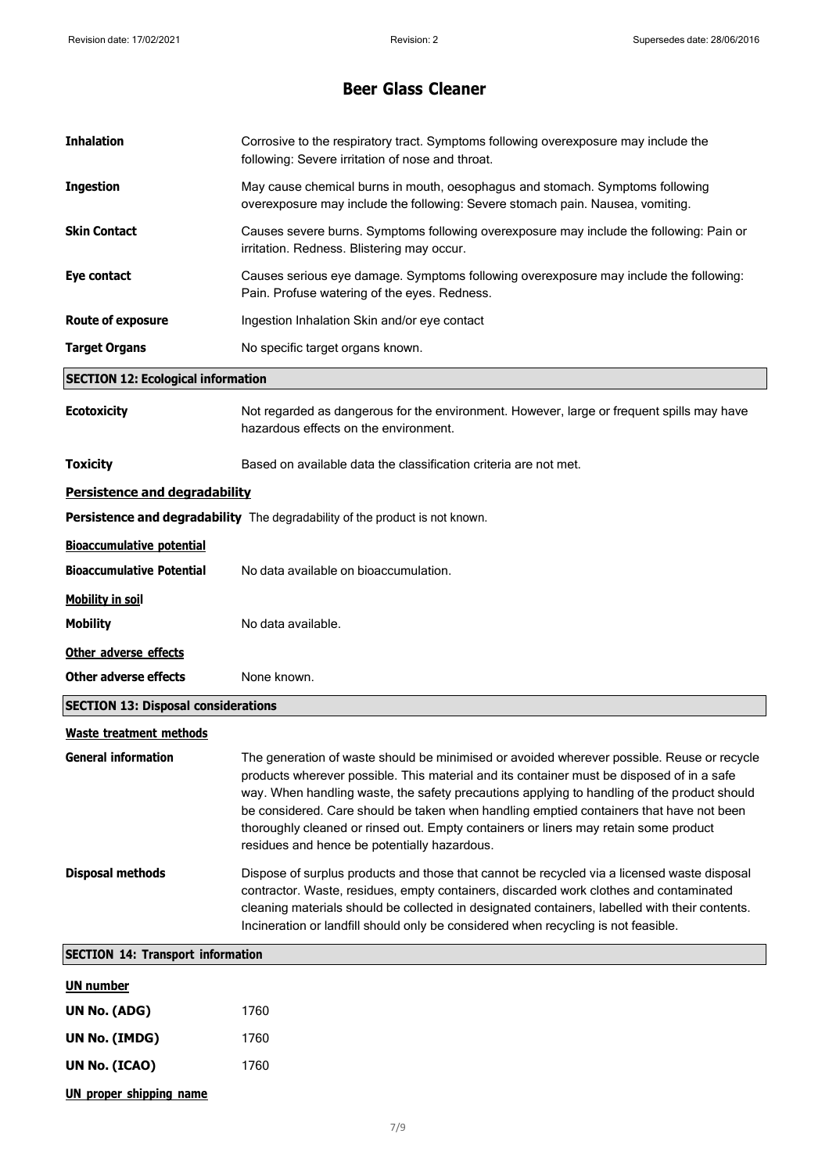| <b>Inhalation</b>                          | Corrosive to the respiratory tract. Symptoms following overexposure may include the<br>following: Severe irritation of nose and throat.                                                                                                                                                                                                                                                                                                                                                                                   |  |
|--------------------------------------------|---------------------------------------------------------------------------------------------------------------------------------------------------------------------------------------------------------------------------------------------------------------------------------------------------------------------------------------------------------------------------------------------------------------------------------------------------------------------------------------------------------------------------|--|
| <b>Ingestion</b>                           | May cause chemical burns in mouth, oesophagus and stomach. Symptoms following<br>overexposure may include the following: Severe stomach pain. Nausea, vomiting.                                                                                                                                                                                                                                                                                                                                                           |  |
| <b>Skin Contact</b>                        | Causes severe burns. Symptoms following overexposure may include the following: Pain or<br>irritation. Redness. Blistering may occur.                                                                                                                                                                                                                                                                                                                                                                                     |  |
| Eye contact                                | Causes serious eye damage. Symptoms following overexposure may include the following:<br>Pain. Profuse watering of the eyes. Redness.                                                                                                                                                                                                                                                                                                                                                                                     |  |
| <b>Route of exposure</b>                   | Ingestion Inhalation Skin and/or eye contact                                                                                                                                                                                                                                                                                                                                                                                                                                                                              |  |
| <b>Target Organs</b>                       | No specific target organs known.                                                                                                                                                                                                                                                                                                                                                                                                                                                                                          |  |
| <b>SECTION 12: Ecological information</b>  |                                                                                                                                                                                                                                                                                                                                                                                                                                                                                                                           |  |
| <b>Ecotoxicity</b>                         | Not regarded as dangerous for the environment. However, large or frequent spills may have<br>hazardous effects on the environment.                                                                                                                                                                                                                                                                                                                                                                                        |  |
| <b>Toxicity</b>                            | Based on available data the classification criteria are not met.                                                                                                                                                                                                                                                                                                                                                                                                                                                          |  |
| Persistence and degradability              |                                                                                                                                                                                                                                                                                                                                                                                                                                                                                                                           |  |
|                                            | Persistence and degradability The degradability of the product is not known.                                                                                                                                                                                                                                                                                                                                                                                                                                              |  |
| <b>Bioaccumulative potential</b>           |                                                                                                                                                                                                                                                                                                                                                                                                                                                                                                                           |  |
| <b>Bioaccumulative Potential</b>           | No data available on bioaccumulation.                                                                                                                                                                                                                                                                                                                                                                                                                                                                                     |  |
| <b>Mobility in soil</b>                    |                                                                                                                                                                                                                                                                                                                                                                                                                                                                                                                           |  |
| <b>Mobility</b>                            | No data available.                                                                                                                                                                                                                                                                                                                                                                                                                                                                                                        |  |
| Other adverse effects                      |                                                                                                                                                                                                                                                                                                                                                                                                                                                                                                                           |  |
| <b>Other adverse effects</b>               | None known.                                                                                                                                                                                                                                                                                                                                                                                                                                                                                                               |  |
| <b>SECTION 13: Disposal considerations</b> |                                                                                                                                                                                                                                                                                                                                                                                                                                                                                                                           |  |
| <b>Waste treatment methods</b>             |                                                                                                                                                                                                                                                                                                                                                                                                                                                                                                                           |  |
| <b>General information</b>                 | The generation of waste should be minimised or avoided wherever possible. Reuse or recycle<br>products wherever possible. This material and its container must be disposed of in a safe<br>way. When handling waste, the safety precautions applying to handling of the product should<br>be considered. Care should be taken when handling emptied containers that have not been<br>thoroughly cleaned or rinsed out. Empty containers or liners may retain some product<br>residues and hence be potentially hazardous. |  |
| <b>Disposal methods</b>                    | Dispose of surplus products and those that cannot be recycled via a licensed waste disposal<br>contractor. Waste, residues, empty containers, discarded work clothes and contaminated<br>cleaning materials should be collected in designated containers, labelled with their contents.<br>Incineration or landfill should only be considered when recycling is not feasible.                                                                                                                                             |  |
| <b>SECTION 14: Transport information</b>   |                                                                                                                                                                                                                                                                                                                                                                                                                                                                                                                           |  |
| <b>UN number</b>                           |                                                                                                                                                                                                                                                                                                                                                                                                                                                                                                                           |  |
| UN No. (ADG)                               | 1760                                                                                                                                                                                                                                                                                                                                                                                                                                                                                                                      |  |
| UN No. (IMDG)                              | 1760                                                                                                                                                                                                                                                                                                                                                                                                                                                                                                                      |  |
| UN No. (ICAO)                              | 1760                                                                                                                                                                                                                                                                                                                                                                                                                                                                                                                      |  |
| <b>UN proper shipping name</b>             |                                                                                                                                                                                                                                                                                                                                                                                                                                                                                                                           |  |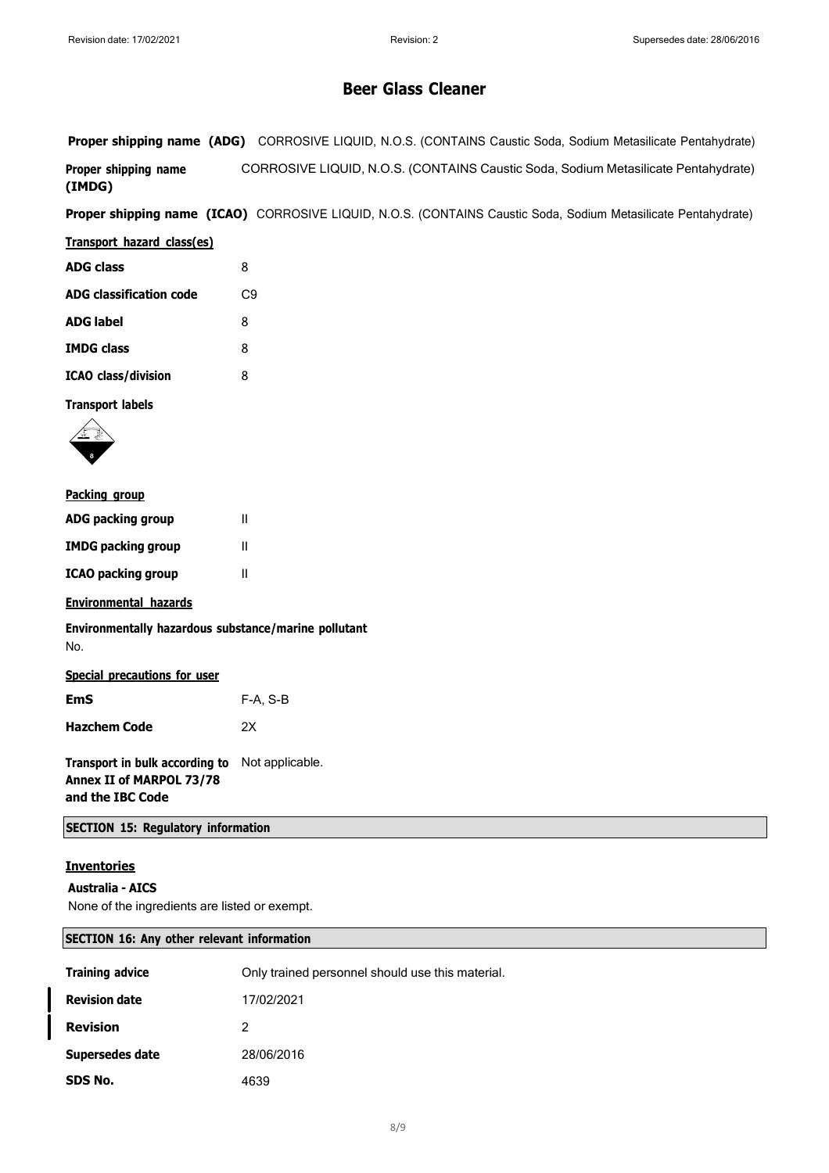**Proper shipping name (ADG)** CORROSIVE LIQUID, N.O.S. (CONTAINS Caustic Soda, Sodium Metasilicate Pentahydrate) **Proper shipping name (IMDG)** CORROSIVE LIQUID, N.O.S. (CONTAINS Caustic Soda, Sodium Metasilicate Pentahydrate)

**Proper shipping name (ICAO)** CORROSIVE LIQUID, N.O.S. (CONTAINS Caustic Soda, Sodium Metasilicate Pentahydrate)

#### **Transport hazard class(es)**

| <b>ADG class</b>           | 8              |
|----------------------------|----------------|
| ADG classification code    | C <sub>9</sub> |
| <b>ADG label</b>           | 8              |
| <b>IMDG class</b>          | 8              |
| <b>ICAO class/division</b> | 8              |

**Transport labels**



#### **Packing group**

| ADG packing group  | Ш |
|--------------------|---|
| IMDG packing group | Ш |
| ICAO packing group | Ш |

#### **Environmental hazards**

**Environmentally hazardous substance/marine pollutant** No.

|--|

| <b>EmS</b>          | $F-A, S-B$ |
|---------------------|------------|
| <b>Hazchem Code</b> | 2Х         |

**Transport in bulk according to** Not applicable. **Annex II of MARPOL 73/78 and the IBC Code**

**SECTION 15: Regulatory information**

### **Inventories**

#### **Australia - AICS**

None of the ingredients are listed or exempt.

#### **SECTION 16: Any other relevant information**

| <b>Training advice</b> | Only trained personnel should use this material. |
|------------------------|--------------------------------------------------|
| <b>Revision date</b>   | 17/02/2021                                       |
| <b>Revision</b>        | 2                                                |
| Supersedes date        | 28/06/2016                                       |
| SDS No.                | 4639                                             |